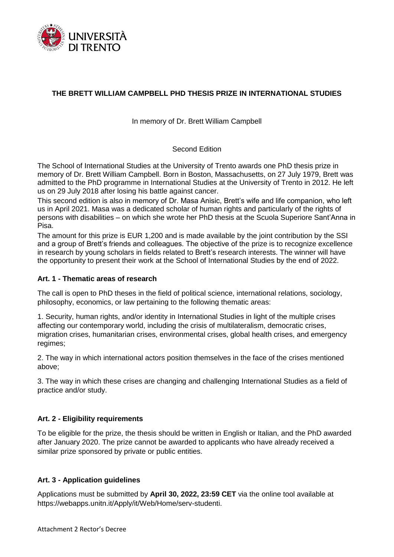

# **THE BRETT WILLIAM CAMPBELL PHD THESIS PRIZE IN INTERNATIONAL STUDIES**

In memory of Dr. Brett William Campbell

Second Edition

The School of International Studies at the University of Trento awards one PhD thesis prize in memory of Dr. Brett William Campbell. Born in Boston, Massachusetts, on 27 July 1979, Brett was admitted to the PhD programme in International Studies at the University of Trento in 2012. He left us on 29 July 2018 after losing his battle against cancer.

This second edition is also in memory of Dr. Masa Anisic, Brett's wife and life companion, who left us in April 2021. Masa was a dedicated scholar of human rights and particularly of the rights of persons with disabilities – on which she wrote her PhD thesis at the Scuola Superiore Sant'Anna in Pisa.

The amount for this prize is EUR 1,200 and is made available by the joint contribution by the SSI and a group of Brett's friends and colleagues. The objective of the prize is to recognize excellence in research by young scholars in fields related to Brett's research interests. The winner will have the opportunity to present their work at the School of International Studies by the end of 2022.

#### **Art. 1 - Thematic areas of research**

The call is open to PhD theses in the field of political science, international relations, sociology, philosophy, economics, or law pertaining to the following thematic areas:

1. Security, human rights, and/or identity in International Studies in light of the multiple crises affecting our contemporary world, including the crisis of multilateralism, democratic crises, migration crises, humanitarian crises, environmental crises, global health crises, and emergency regimes;

2. The way in which international actors position themselves in the face of the crises mentioned above;

3. The way in which these crises are changing and challenging International Studies as a field of practice and/or study.

#### **Art. 2 - Eligibility requirements**

To be eligible for the prize, the thesis should be written in English or Italian, and the PhD awarded after January 2020. The prize cannot be awarded to applicants who have already received a similar prize sponsored by private or public entities.

#### **Art. 3 - Application guidelines**

Applications must be submitted by **April 30, 2022, 23:59 CET** via the online tool available at https://webapps.unitn.it/Apply/it/Web/Home/serv-studenti.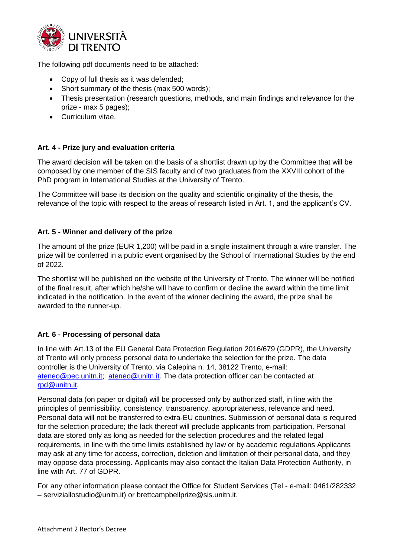

The following pdf documents need to be attached:

- Copy of full thesis as it was defended;
- Short summary of the thesis (max 500 words);
- Thesis presentation (research questions, methods, and main findings and relevance for the prize - max 5 pages);
- Curriculum vitae.

## **Art. 4 - Prize jury and evaluation criteria**

The award decision will be taken on the basis of a shortlist drawn up by the Committee that will be composed by one member of the SIS faculty and of two graduates from the XXVIII cohort of the PhD program in International Studies at the University of Trento.

The Committee will base its decision on the quality and scientific originality of the thesis, the relevance of the topic with respect to the areas of research listed in Art. 1, and the applicant's CV.

### **Art. 5 - Winner and delivery of the prize**

The amount of the prize (EUR 1,200) will be paid in a single instalment through a wire transfer. The prize will be conferred in a public event organised by the School of International Studies by the end of 2022.

The shortlist will be published on the website of the University of Trento. The winner will be notified of the final result, after which he/she will have to confirm or decline the award within the time limit indicated in the notification. In the event of the winner declining the award, the prize shall be awarded to the runner-up.

## **Art. 6 - Processing of personal data**

In line with Art.13 of the EU General Data Protection Regulation 2016/679 (GDPR), the University of Trento will only process personal data to undertake the selection for the prize. The data controller is the University of Trento, via Calepina n. 14, 38122 Trento, e-mail: [ateneo@pec.unitn.it;](mailto:ateneo@pec.unitn.it) [ateneo@unitn.it.](mailto:ateneo@unitn.it) The data protection officer can be contacted at [rpd@unitn.it.](mailto:rpd@unitn.it)

Personal data (on paper or digital) will be processed only by authorized staff, in line with the principles of permissibility, consistency, transparency, appropriateness, relevance and need. Personal data will not be transferred to extra-EU countries. Submission of personal data is required for the selection procedure; the lack thereof will preclude applicants from participation. Personal data are stored only as long as needed for the selection procedures and the related legal requirements, in line with the time limits established by law or by academic regulations Applicants may ask at any time for access, correction, deletion and limitation of their personal data, and they may oppose data processing. Applicants may also contact the Italian Data Protection Authority, in line with Art. 77 of GDPR.

For any other information please contact the Office for Student Services (Tel - e-mail: 0461/282332 – serviziallostudio@unitn.it) or brettcampbellprize@sis.unitn.it.